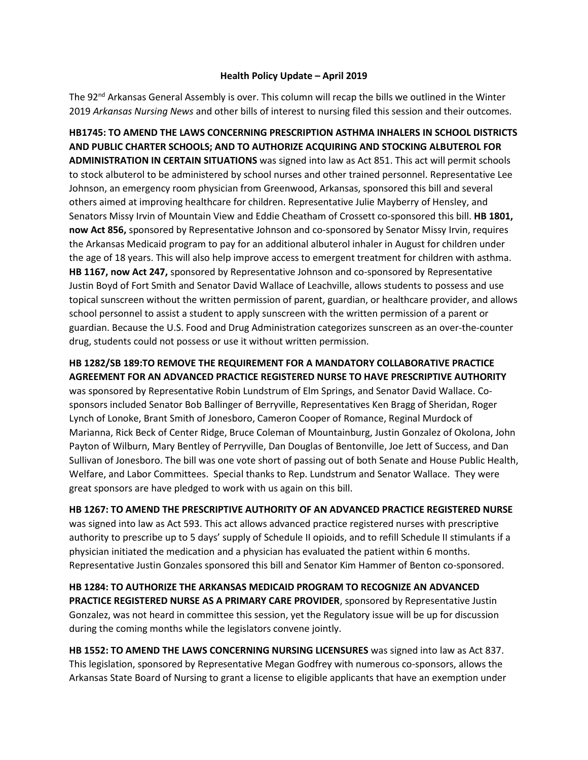## **Health Policy Update – April 2019**

The 92<sup>nd</sup> Arkansas General Assembly is over. This column will recap the bills we outlined in the Winter 2019 *Arkansas Nursing News* and other bills of interest to nursing filed this session and their outcomes.

**HB1745: TO AMEND THE LAWS CONCERNING PRESCRIPTION ASTHMA INHALERS IN SCHOOL DISTRICTS AND PUBLIC CHARTER SCHOOLS; AND TO AUTHORIZE ACQUIRING AND STOCKING ALBUTEROL FOR ADMINISTRATION IN CERTAIN SITUATIONS** [was signed into law as Act 851.](http://www.arkleg.state.ar.us/assembly/2019/2019R/Acts/Act851.pdf) This act will permit schools to stock albuterol to be administered by school nurses and other trained personnel. Representative Lee Johnson, an emergency room physician from Greenwood, Arkansas, sponsored this bill and several others aimed at improving healthcare for children. Representative Julie Mayberry of Hensley, and Senators Missy Irvin of Mountain View and Eddie Cheatham of Crossett co-sponsored this bill. **HB 1801, now Act 856,** sponsored by Representative Johnson and co-sponsored by Senator Missy Irvin, requires the Arkansas Medicaid program to pay for an additional albuterol inhaler in August for children under the age of 18 years. This will also help improve access to emergent treatment for children with asthma. **HB 1167, now Act 247,** sponsored by Representative Johnson and co-sponsored by Representative Justin Boyd of Fort Smith and Senator David Wallace of Leachville, allows students to possess and use topical sunscreen without the written permission of parent, guardian, or healthcare provider, and allows school personnel to assist a student to apply sunscreen with the written permission of a parent or guardian. Because the U.S. Food and Drug Administration categorizes sunscreen as an over-the-counter drug, students could not possess or use it without written permission.

## **HB 1282/SB 189:TO REMOVE THE REQUIREMENT FOR A MANDATORY COLLABORATIVE PRACTICE AGREEMENT FOR AN ADVANCED PRACTICE REGISTERED NURSE TO HAVE PRESCRIPTIVE AUTHORITY**

was sponsored by Representative Robin Lundstrum of Elm Springs, and Senator David Wallace. Cosponsors included Senator Bob Ballinger of Berryville, Representatives Ken Bragg of Sheridan, Roger Lynch of Lonoke, Brant Smith of Jonesboro, Cameron Cooper of Romance, Reginal Murdock of Marianna, Rick Beck of Center Ridge, Bruce Coleman of Mountainburg, Justin Gonzalez of Okolona, John Payton of Wilburn, Mary Bentley of Perryville, Dan Douglas of Bentonville, Joe Jett of Success, and Dan Sullivan of Jonesboro. The bill was one vote short of passing out of both Senate and House Public Health, Welfare, and Labor Committees. Special thanks to Rep. Lundstrum and Senator Wallace. They were great sponsors are have pledged to work with us again on this bill.

**HB 1267: TO AMEND THE PRESCRIPTIVE AUTHORITY OF AN ADVANCED PRACTICE REGISTERED NURSE** was signed into law as Act 593. This act allows advanced practice registered nurses with prescriptive authority to prescribe up to 5 days' supply of Schedule II opioids, and to refill Schedule II stimulants if a physician initiated the medication and a physician has evaluated the patient within 6 months. Representative Justin Gonzales sponsored this bill and Senator Kim Hammer of Benton co-sponsored.

**HB 1284: TO AUTHORIZE THE ARKANSAS MEDICAID PROGRAM TO RECOGNIZE AN ADVANCED PRACTICE REGISTERED NURSE AS A PRIMARY CARE PROVIDER**, sponsored by Representative Justin Gonzalez, was not heard in committee this session, yet the Regulatory issue will be up for discussion during the coming months while the legislators convene jointly.

**HB 1552: TO AMEND THE LAWS CONCERNING NURSING LICENSURES** was signed into law as Act 837. This legislation, sponsored by Representative Megan Godfrey with numerous co-sponsors, allows the Arkansas State Board of Nursing to grant a license to eligible applicants that have an exemption under